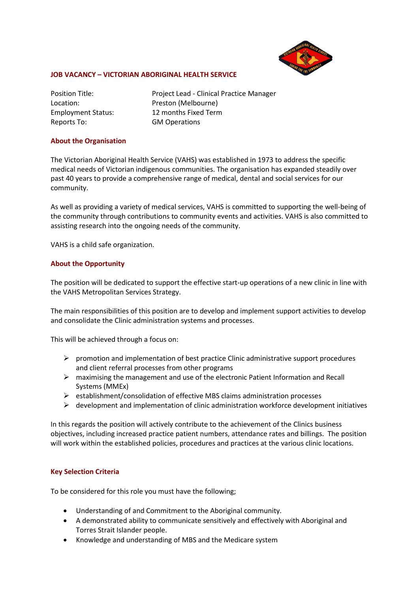

## **JOB VACANCY – VICTORIAN ABORIGINAL HEALTH SERVICE**

Reports To: GM Operations

Position Title: Project Lead - Clinical Practice Manager Location: Preston (Melbourne) Employment Status: 12 months Fixed Term

## **About the Organisation**

The Victorian Aboriginal Health Service (VAHS) was established in 1973 to address the specific medical needs of Victorian indigenous communities. The organisation has expanded steadily over past 40 years to provide a comprehensive range of medical, dental and social services for our community.

As well as providing a variety of medical services, VAHS is committed to supporting the well-being of the community through contributions to community events and activities. VAHS is also committed to assisting research into the ongoing needs of the community.

VAHS is a child safe organization.

## **About the Opportunity**

The position will be dedicated to support the effective start-up operations of a new clinic in line with the VAHS Metropolitan Services Strategy.

The main responsibilities of this position are to develop and implement support activities to develop and consolidate the Clinic administration systems and processes.

This will be achieved through a focus on:

- $\triangleright$  promotion and implementation of best practice Clinic administrative support procedures and client referral processes from other programs
- $\triangleright$  maximising the management and use of the electronic Patient Information and Recall Systems (MMEx)
- $\triangleright$  establishment/consolidation of effective MBS claims administration processes
- $\triangleright$  development and implementation of clinic administration workforce development initiatives

In this regards the position will actively contribute to the achievement of the Clinics business objectives, including increased practice patient numbers, attendance rates and billings. The position will work within the established policies, procedures and practices at the various clinic locations.

#### **Key Selection Criteria**

To be considered for this role you must have the following;

- Understanding of and Commitment to the Aboriginal community.
- A demonstrated ability to communicate sensitively and effectively with Aboriginal and Torres Strait Islander people.
- Knowledge and understanding of MBS and the Medicare system